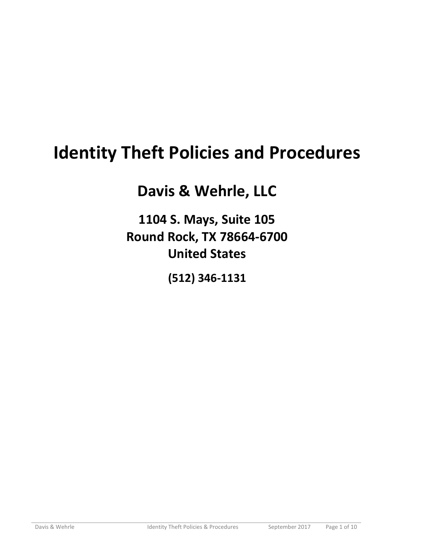# **Identity Theft Policies and Procedures**

## **Davis & Wehrle, LLC**

**1104 S. Mays, Suite 105 Round Rock, TX 78664-6700 United States** 

**(512) 346-1131**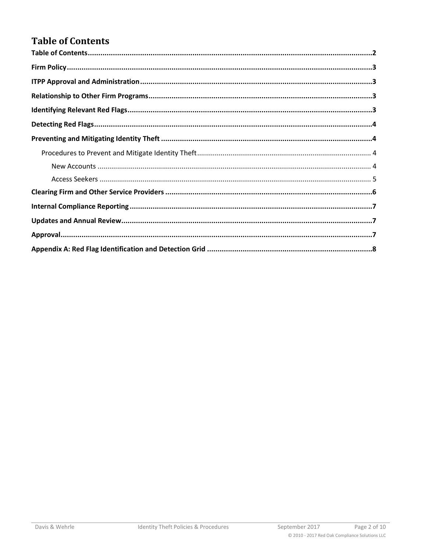## <span id="page-1-0"></span>**Table of Contents**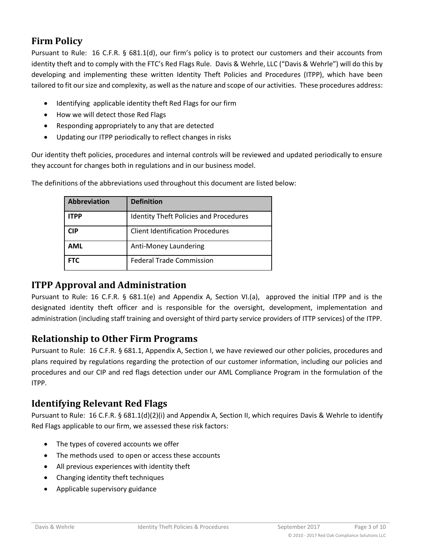## <span id="page-2-0"></span>**Firm Policy**

Pursuant to Rule: 16 C.F.R. § 681.1(d), our firm's policy is to protect our customers and their accounts from identity theft and to comply with the FTC's Red Flags Rule. Davis & Wehrle, LLC ("Davis & Wehrle") will do this by developing and implementing these written Identity Theft Policies and Procedures (ITPP), which have been tailored to fit our size and complexity, as well as the nature and scope of our activities. These procedures address:

- Identifying applicable identity theft Red Flags for our firm
- How we will detect those Red Flags
- Responding appropriately to any that are detected
- Updating our ITPP periodically to reflect changes in risks

Our identity theft policies, procedures and internal controls will be reviewed and updated periodically to ensure they account for changes both in regulations and in our business model.

| <b>Abbreviation</b> | <b>Definition</b>                             |
|---------------------|-----------------------------------------------|
| <b>ITPP</b>         | <b>Identity Theft Policies and Procedures</b> |
| CIP                 | <b>Client Identification Procedures</b>       |
| <b>AML</b>          | Anti-Money Laundering                         |
| <b>FTC</b>          | <b>Federal Trade Commission</b>               |

The definitions of the abbreviations used throughout this document are listed below:

#### <span id="page-2-1"></span>**ITPP Approval and Administration**

Pursuant to Rule: 16 C.F.R. § 681.1(e) and Appendix A, Section VI.(a), approved the initial ITPP and is the designated identity theft officer and is responsible for the oversight, development, implementation and administration (including staff training and oversight of third party service providers of ITTP services) of the ITPP.

#### <span id="page-2-2"></span>**Relationship to Other Firm Programs**

Pursuant to Rule: 16 C.F.R. § 681.1, Appendix A, Section I, we have reviewed our other policies, procedures and plans required by regulations regarding the protection of our customer information, including our policies and procedures and our CIP and red flags detection under our AML Compliance Program in the formulation of the ITPP.

### <span id="page-2-3"></span>**Identifying Relevant Red Flags**

Pursuant to Rule: 16 C.F.R. § 681.1(d)(2)(i) and Appendix A, Section II, which requires Davis & Wehrle to identify Red Flags applicable to our firm, we assessed these risk factors:

- The types of covered accounts we offer
- The methods used to open or access these accounts
- All previous experiences with identity theft
- Changing identity theft techniques
- Applicable supervisory guidance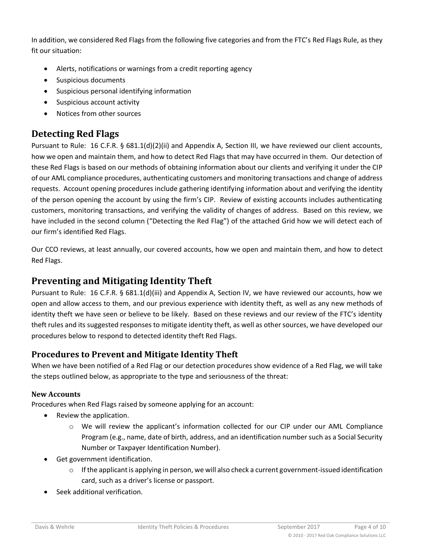In addition, we considered Red Flags from the following five categories and from the FTC's Red Flags Rule, as they fit our situation:

- Alerts, notifications or warnings from a credit reporting agency
- Suspicious documents
- Suspicious personal identifying information
- Suspicious account activity
- Notices from other sources

## <span id="page-3-0"></span>**Detecting Red Flags**

Pursuant to Rule: 16 C.F.R. § 681.1(d)(2)(ii) and Appendix A, Section III, we have reviewed our client accounts, how we open and maintain them, and how to detect Red Flags that may have occurred in them. Our detection of these Red Flags is based on our methods of obtaining information about our clients and verifying it under the CIP of our AML compliance procedures, authenticating customers and monitoring transactions and change of address requests. Account opening procedures include gathering identifying information about and verifying the identity of the person opening the account by using the firm's CIP. Review of existing accounts includes authenticating customers, monitoring transactions, and verifying the validity of changes of address. Based on this review, we have included in the second column ("Detecting the Red Flag") of the attached Grid how we will detect each of our firm's identified Red Flags.

Our CCO reviews, at least annually, our covered accounts, how we open and maintain them, and how to detect Red Flags.

## <span id="page-3-1"></span>**Preventing and Mitigating Identity Theft**

Pursuant to Rule: 16 C.F.R. § 681.1(d)(iii) and Appendix A, Section IV, we have reviewed our accounts, how we open and allow access to them, and our previous experience with identity theft, as well as any new methods of identity theft we have seen or believe to be likely. Based on these reviews and our review of the FTC's identity theft rules and its suggested responses to mitigate identity theft, as well as other sources, we have developed our procedures below to respond to detected identity theft Red Flags.

#### <span id="page-3-2"></span>**Procedures to Prevent and Mitigate Identity Theft**

When we have been notified of a Red Flag or our detection procedures show evidence of a Red Flag, we will take the steps outlined below, as appropriate to the type and seriousness of the threat:

#### <span id="page-3-3"></span>**New Accounts**

Procedures when Red Flags raised by someone applying for an account:

- Review the application.
	- o We will review the applicant's information collected for our CIP under our AML Compliance Program (e.g., name, date of birth, address, and an identification number such as a Social Security Number or Taxpayer Identification Number).
- Get government identification.
	- $\circ$  If the applicant is applying in person, we will also check a current government-issued identification card, such as a driver's license or passport.
- Seek additional verification.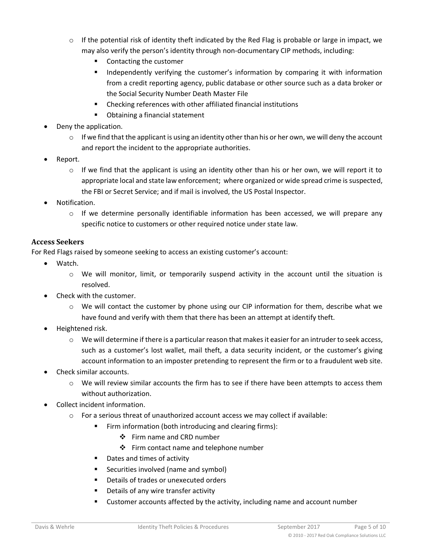- $\circ$  If the potential risk of identity theft indicated by the Red Flag is probable or large in impact, we may also verify the person's identity through non-documentary CIP methods, including:
	- Contacting the customer
	- **■** Independently verifying the customer's information by comparing it with information from a credit reporting agency, public database or other source such as a data broker or the Social Security Number Death Master File
	- Checking references with other affiliated financial institutions
	- Obtaining a financial statement
- Deny the application.
	- $\circ$  If we find that the applicant is using an identity other than his or her own, we will deny the account and report the incident to the appropriate authorities.
- Report.
	- $\circ$  If we find that the applicant is using an identity other than his or her own, we will report it to appropriate local and state law enforcement; where organized or wide spread crime is suspected, the FBI or Secret Service; and if mail is involved, the US Postal Inspector.
- Notification.
	- $\circ$  If we determine personally identifiable information has been accessed, we will prepare any specific notice to customers or other required notice under state law.

#### <span id="page-4-0"></span>**Access Seekers**

For Red Flags raised by someone seeking to access an existing customer's account:

- Watch.
	- $\circ$  We will monitor, limit, or temporarily suspend activity in the account until the situation is resolved.
- Check with the customer.
	- $\circ$  We will contact the customer by phone using our CIP information for them, describe what we have found and verify with them that there has been an attempt at identify theft.
- Heightened risk.
	- $\circ$  We will determine if there is a particular reason that makes it easier for an intruder to seek access, such as a customer's lost wallet, mail theft, a data security incident, or the customer's giving account information to an imposter pretending to represent the firm or to a fraudulent web site.
- Check similar accounts.
	- $\circ$  We will review similar accounts the firm has to see if there have been attempts to access them without authorization.
- Collect incident information.
	- $\circ$  For a serious threat of unauthorized account access we may collect if available:
		- Firm information (both introducing and clearing firms):
			- ❖ Firm name and CRD number
			- ❖ Firm contact name and telephone number
		- Dates and times of activity
		- Securities involved (name and symbol)
		- Details of trades or unexecuted orders
		- Details of any wire transfer activity
		- Customer accounts affected by the activity, including name and account number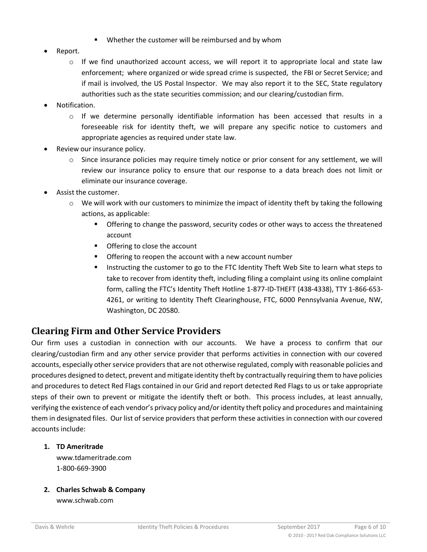- Whether the customer will be reimbursed and by whom
- Report.
	- $\circ$  If we find unauthorized account access, we will report it to appropriate local and state law enforcement; where organized or wide spread crime is suspected, the FBI or Secret Service; and if mail is involved, the US Postal Inspector. We may also report it to the SEC, State regulatory authorities such as the state securities commission; and our clearing/custodian firm.
- Notification.
	- o If we determine personally identifiable information has been accessed that results in a foreseeable risk for identity theft, we will prepare any specific notice to customers and appropriate agencies as required under state law.
- Review our insurance policy.
	- $\circ$  Since insurance policies may require timely notice or prior consent for any settlement, we will review our insurance policy to ensure that our response to a data breach does not limit or eliminate our insurance coverage.
- Assist the customer.
	- $\circ$  We will work with our customers to minimize the impact of identity theft by taking the following actions, as applicable:
		- Offering to change the password, security codes or other ways to access the threatened account
		- Offering to close the account
		- Offering to reopen the account with a new account number
		- Instructing the customer to go to the FTC Identity Theft Web Site to learn what steps to take to recover from identity theft, including filing a complaint using its online complaint form, calling the FTC's Identity Theft Hotline 1-877-ID-THEFT (438-4338), TTY 1-866-653- 4261, or writing to Identity Theft Clearinghouse, FTC, 6000 Pennsylvania Avenue, NW, Washington, DC 20580.

#### <span id="page-5-0"></span>**Clearing Firm and Other Service Providers**

Our firm uses a custodian in connection with our accounts. We have a process to confirm that our clearing/custodian firm and any other service provider that performs activities in connection with our covered accounts, especially other service providers that are not otherwise regulated, comply with reasonable policies and procedures designed to detect, prevent and mitigate identity theft by contractually requiring them to have policies and procedures to detect Red Flags contained in our Grid and report detected Red Flags to us or take appropriate steps of their own to prevent or mitigate the identify theft or both. This process includes, at least annually, verifying the existence of each vendor's privacy policy and/or identity theft policy and procedures and maintaining them in designated files. Our list of service providers that perform these activities in connection with our covered accounts include:

#### **1. TD Ameritrade**

www.tdameritrade.com 1-800-669-3900

**2. Charles Schwab & Company**

www.schwab.com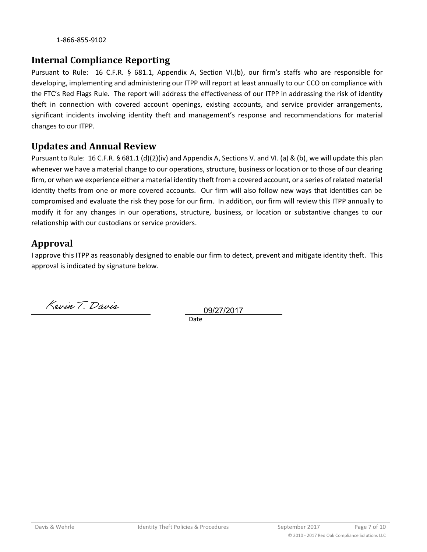1-866-855-9102

#### <span id="page-6-0"></span>**Internal Compliance Reporting**

Pursuant to Rule: 16 C.F.R. § 681.1, Appendix A, Section VI.(b), our firm's staffs who are responsible for developing, implementing and administering our ITPP will report at least annually to our CCO on compliance with the FTC's Red Flags Rule. The report will address the effectiveness of our ITPP in addressing the risk of identity theft in connection with covered account openings, existing accounts, and service provider arrangements, significant incidents involving identity theft and management's response and recommendations for material changes to our ITPP.

#### <span id="page-6-1"></span>**Updates and Annual Review**

Pursuant to Rule: 16 C.F.R. § 681.1 (d)(2)(iv) and Appendix A, Sections V. and VI. (a) & (b), we will update this plan whenever we have a material change to our operations, structure, business or location or to those of our clearing firm, or when we experience either a material identity theft from a covered account, or a series of related material identity thefts from one or more covered accounts. Our firm will also follow new ways that identities can be compromised and evaluate the risk they pose for our firm. In addition, our firm will review this ITPP annually to modify it for any changes in our operations, structure, business, or location or substantive changes to our relationship with our custodians or service providers.

#### <span id="page-6-2"></span>**Approval**

I approve this ITPP as reasonably designed to enable our firm to detect, prevent and mitigate identity theft. This approval is indicated by signature below.

Kevin T. Davis

Date 09/27/2017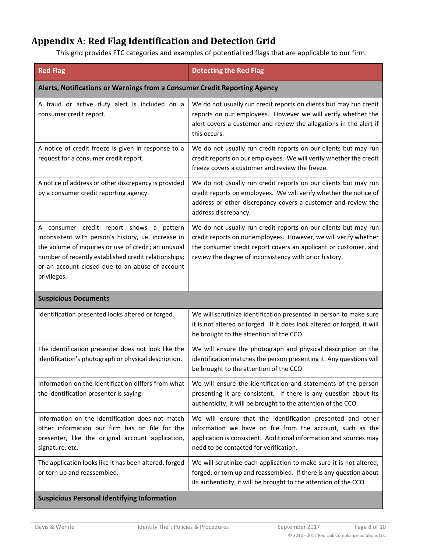## <span id="page-7-0"></span>**Appendix A: Red Flag Identification and Detection Grid**

This grid provides FTC categories and examples of potential red flags that are applicable to our firm.

| <b>Red Flag</b>                                                                                                                                                                                                                                                                    | <b>Detecting the Red Flag</b>                                                                                                                                                                                                                                    |  |  |
|------------------------------------------------------------------------------------------------------------------------------------------------------------------------------------------------------------------------------------------------------------------------------------|------------------------------------------------------------------------------------------------------------------------------------------------------------------------------------------------------------------------------------------------------------------|--|--|
| Alerts, Notifications or Warnings from a Consumer Credit Reporting Agency                                                                                                                                                                                                          |                                                                                                                                                                                                                                                                  |  |  |
| A fraud or active duty alert is included on a<br>consumer credit report.                                                                                                                                                                                                           | We do not usually run credit reports on clients but may run credit<br>reports on our employees. However we will verify whether the<br>alert covers a customer and review the allegations in the alert if<br>this occurs.                                         |  |  |
| A notice of credit freeze is given in response to a<br>request for a consumer credit report.                                                                                                                                                                                       | We do not usually run credit reports on our clients but may run<br>credit reports on our employees. We will verify whether the credit<br>freeze covers a customer and review the freeze.                                                                         |  |  |
| A notice of address or other discrepancy is provided<br>by a consumer credit reporting agency.                                                                                                                                                                                     | We do not usually run credit reports on our clients but may run<br>credit reports on employees. We will verify whether the notice of<br>address or other discrepancy covers a customer and review the<br>address discrepancy.                                    |  |  |
| A consumer credit report shows a pattern<br>inconsistent with person's history, i.e. increase in<br>the volume of inquiries or use of credit; an unusual<br>number of recently established credit relationships;<br>or an account closed due to an abuse of account<br>privileges. | We do not usually run credit reports on our clients but may run<br>credit reports on our employees. However, we will verify whether<br>the consumer credit report covers an applicant or customer, and<br>review the degree of inconsistency with prior history. |  |  |
| <b>Suspicious Documents</b>                                                                                                                                                                                                                                                        |                                                                                                                                                                                                                                                                  |  |  |
| Identification presented looks altered or forged.                                                                                                                                                                                                                                  | We will scrutinize identification presented in person to make sure<br>it is not altered or forged. If it does look altered or forged, it will<br>be brought to the attention of the CCO.                                                                         |  |  |
| The identification presenter does not look like the<br>identification's photograph or physical description.                                                                                                                                                                        | We will ensure the photograph and physical description on the<br>identification matches the person presenting it. Any questions will<br>be brought to the attention of the CCO.                                                                                  |  |  |
| Information on the identification differs from what<br>the identification presenter is saying.                                                                                                                                                                                     | We will ensure the identification and statements of the person<br>presenting it are consistent. If there is any question about its<br>authenticity, it will be brought to the attention of the CCO.                                                              |  |  |
| Information on the identification does not match<br>other information our firm has on file for the<br>presenter, like the original account application,<br>signature, etc.                                                                                                         | We will ensure that the identification presented and other<br>information we have on file from the account, such as the<br>application is consistent. Additional information and sources may<br>need to be contacted for verification.                           |  |  |
| The application looks like it has been altered, forged<br>or torn up and reassembled.                                                                                                                                                                                              | We will scrutinize each application to make sure it is not altered,<br>forged, or torn up and reassembled. If there is any question about<br>its authenticity, it will be brought to the attention of the CCO.                                                   |  |  |
| <b>Suspicious Personal Identifying Information</b>                                                                                                                                                                                                                                 |                                                                                                                                                                                                                                                                  |  |  |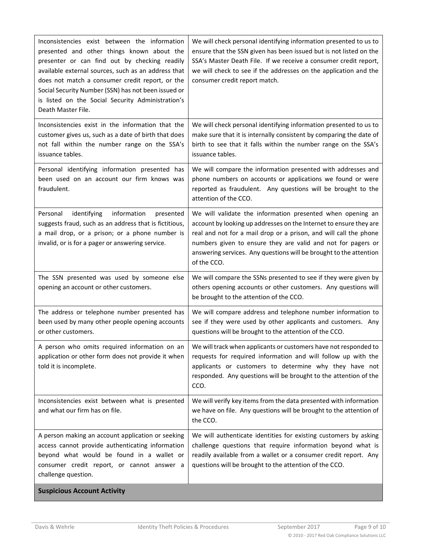| Inconsistencies exist between the information<br>presented and other things known about the<br>presenter or can find out by checking readily                                                                            | We will check personal identifying information presented to us to<br>ensure that the SSN given has been issued but is not listed on the<br>SSA's Master Death File. If we receive a consumer credit report,                                                                                                                                                |
|-------------------------------------------------------------------------------------------------------------------------------------------------------------------------------------------------------------------------|------------------------------------------------------------------------------------------------------------------------------------------------------------------------------------------------------------------------------------------------------------------------------------------------------------------------------------------------------------|
| available external sources, such as an address that<br>does not match a consumer credit report, or the                                                                                                                  | we will check to see if the addresses on the application and the                                                                                                                                                                                                                                                                                           |
| Social Security Number (SSN) has not been issued or                                                                                                                                                                     | consumer credit report match.                                                                                                                                                                                                                                                                                                                              |
| is listed on the Social Security Administration's<br>Death Master File.                                                                                                                                                 |                                                                                                                                                                                                                                                                                                                                                            |
| Inconsistencies exist in the information that the<br>customer gives us, such as a date of birth that does<br>not fall within the number range on the SSA's<br>issuance tables.                                          | We will check personal identifying information presented to us to<br>make sure that it is internally consistent by comparing the date of<br>birth to see that it falls within the number range on the SSA's<br>issuance tables.                                                                                                                            |
| Personal identifying information presented has<br>been used on an account our firm knows was<br>fraudulent.                                                                                                             | We will compare the information presented with addresses and<br>phone numbers on accounts or applications we found or were<br>reported as fraudulent. Any questions will be brought to the<br>attention of the CCO.                                                                                                                                        |
| Personal<br>identifying<br>information<br>presented<br>suggests fraud, such as an address that is fictitious,<br>a mail drop, or a prison; or a phone number is<br>invalid, or is for a pager or answering service.     | We will validate the information presented when opening an<br>account by looking up addresses on the Internet to ensure they are<br>real and not for a mail drop or a prison, and will call the phone<br>numbers given to ensure they are valid and not for pagers or<br>answering services. Any questions will be brought to the attention<br>of the CCO. |
| The SSN presented was used by someone else<br>opening an account or other customers.                                                                                                                                    | We will compare the SSNs presented to see if they were given by<br>others opening accounts or other customers. Any questions will<br>be brought to the attention of the CCO.                                                                                                                                                                               |
| The address or telephone number presented has<br>been used by many other people opening accounts<br>or other customers.                                                                                                 | We will compare address and telephone number information to<br>see if they were used by other applicants and customers. Any<br>questions will be brought to the attention of the CCO.                                                                                                                                                                      |
| A person who omits required information on an  <br>application or other form does not provide it when<br>told it is incomplete.                                                                                         | We will track when applicants or customers have not responded to<br>requests for required information and will follow up with the<br>applicants or customers to determine why they have not<br>responded. Any questions will be brought to the attention of the<br>CCO.                                                                                    |
| Inconsistencies exist between what is presented<br>and what our firm has on file.                                                                                                                                       | We will verify key items from the data presented with information<br>we have on file. Any questions will be brought to the attention of<br>the CCO.                                                                                                                                                                                                        |
| A person making an account application or seeking<br>access cannot provide authenticating information<br>beyond what would be found in a wallet or<br>consumer credit report, or cannot answer a<br>challenge question. | We will authenticate identities for existing customers by asking<br>challenge questions that require information beyond what is<br>readily available from a wallet or a consumer credit report. Any<br>questions will be brought to the attention of the CCO.                                                                                              |
| <b>Suspicious Account Activity</b>                                                                                                                                                                                      |                                                                                                                                                                                                                                                                                                                                                            |